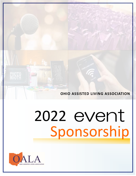

# 2022 event Sponsorship

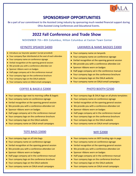

## **SPONSORSHIP OPPORTUNITIES**

Be a part of our commitment to the Assisted Living industry by sponsoring much needed financial support during Ohio Assisted Living Conferences and Educational Events.

# **2022 Fall Conference and Trade Show**

#### NOVEMBER 7th—8th Columbus, Hilton Columbus at Easton Town Center

#### KEYNOTE SPEAKER \$4000

- ◆ Introduce our keynote speaker! (script provided)
- Your company flyer distributed at the seat of each attendee
- Your company name on conference signage
- Verbal recognition at the opening general session
- We provide you with a conference attendee List
- ◆ Sponsor ribbons worn on badges
- Half-page company ad in the conference manual
- ◆ Your company logo on the conference brochure
- Your company logo on the OALA website
- Your company name on OALA email campaigns

#### COFFEE & BAGELS \$2000

- Your company sign next to morning coffee & bagels
- Your company name on conference signage
- Verbal recognition at the opening general session
- We provide you with a conference attendee List
- ◆ Sponsor ribbons worn on badges
- Half-page company ad in the conference manual
- Your company logo on the conference brochure
- Your company logo on the OALA website
- Your company name on OALA email campaigns

#### TOTE BAGS \$3000

- ◆ Your company logo on all tote bags
- Your company name on conference signage
- Verbal recognition at the opening general session
- We provide you with a conference attendee List
- ◆ Sponsor ribbons worn on badges
- Half-page company ad in the conference manual
- Your company logo on the conference brochure
- Your company logo on the OALA website
- Your company name on OALA email campaigns

#### LANYARDS & NAME BADGES \$3000

- Your company name on lanyards
- Your company name on conference signage
- Verbal recognition at the opening general session
- We provide you with a conference attendee List
- ◆ Sponsor ribbons worn on badges
- Half-page company ad in the conference manual
- Your company logo on the conference brochure
- Your company logo on the OALA website
- Your company name on OALA email campaigns

#### PHOTO BOOTH \$2500

- ◆ Your company logo & OALA logo on all photo templates
- Your company name on conference signage
- Verbal recognition at the opening general session
- We provide you with a conference attendee List
- ◆ Sponsor ribbons worn on badges
- Half-page company ad in the conference manual
- Your company logo on the conference brochure
- Your company logo on the OALA website
- Your company name on OALA email campaigns

#### WIFI \$2000

- Your company name on WIFI landing sign-in page
- Your company name on conference signage
- Verbal recognition at the opening general session
- We provide you with a conference attendee List
- ◆ Sponsor ribbons worn on badges
- ◆ Half-page company ad in the conference manual
- Your company logo on the conference brochure
- Your company logo on the OALA website
- Your company name on OALA email campaigns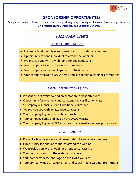

# **SPONSORSHIP OPPORTUNITIES**

Be a part of our commitment to the Assisted Living industry by sponsoring much needed financial support during Ohio Assisted Living Conferences and Educational Events.

# **2022 OALA Events**

#### RCF RULES TRAINING \$850

- ◆ Present a brief overview and presentation to webinar attendees
- ◆ Opportunity for one individual to attend the webinar
- We provide you with a webinar attendee contact list
- ◆ Your company logo on the webinar brochure
- Your company name and logo on the OALA website
- Your company logo on OALA email and social media webinar promotions

#### SPECIAL CERTIFICATIONS \$1000

- ◆ Present a brief overview and presentation to class attendees
- Opportunity for one individual to attend the certification class
	- \* Company responsible for all additional course fees
- We provide you with an attendee contact list
- Your company logo on the webinar brochure
- Your company name and logo on the OALA website
- Your company logo on OALA email and social media webinar promotions

#### LIVE WEBINARS \$850

- ◆ Present a brief overview and presentation to webinar attendees
- ◆ Opportunity for one individual to attend the webinar
- We provide you with a webinar attendee contact list
- ◆ Your company logo on the webinar brochure
- Your company name and logo on the OALA website
- Your company logo on OALA email and social media webinar promotions